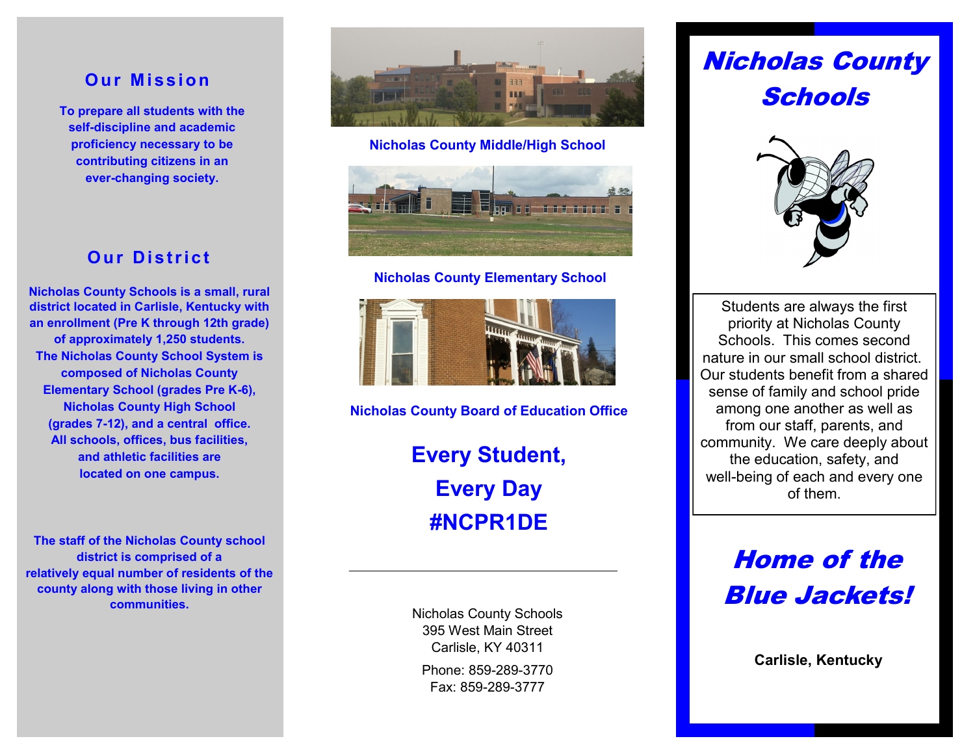## **Our Mission**

**To prepare all students with the self-discipline and academic proficiency necessary to be contributing citizens in an ever-changing society.**

## **Our District**

**Nicholas County Schools is a small, rural district located in Carlisle, Kentucky with an enrollment (Pre K through 12th grade) of approximately 1,250 students. The Nicholas County School System is composed of Nicholas County Elementary School (grades Pre K-6), Nicholas County High School (grades 7-12), and a central office. All schools, offices, bus facilities, and athletic facilities are located on one campus.** 

**The staff of the Nicholas County school district is comprised of a relatively equal number of residents of the county along with those living in other communities.**



**Nicholas County Middle/High School**



### **Nicholas County Elementary School**



**Nicholas County Board of Education Office**

**Every Student, Every Day #NCPR1DE**

Phone: 859-289-3770 Fax: 859-289-3777 Nicholas County Schools 395 West Main Street Carlisle, KY 40311

# Nicholas County **Schools**



Students are always the first priority at Nicholas County Schools. This comes second nature in our small school district. Our students benefit from a shared sense of family and school pride among one another as well as from our staff, parents, and community. We care deeply about the education, safety, and well-being of each and every one of them.

> Home of the Blue Jackets!

> > **Carlisle, Kentucky**